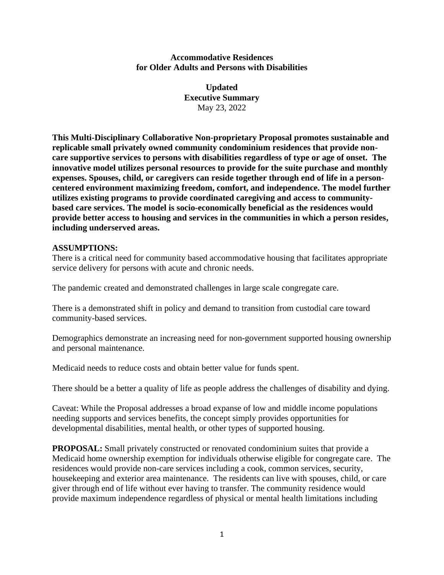## **Accommodative Residences for Older Adults and Persons with Disabilities**

**Updated Executive Summary** May 23, 2022

**This Multi-Disciplinary Collaborative Non-proprietary Proposal promotes sustainable and replicable small privately owned community condominium residences that provide noncare supportive services to persons with disabilities regardless of type or age of onset. The innovative model utilizes personal resources to provide for the suite purchase and monthly expenses. Spouses, child, or caregivers can reside together through end of life in a personcentered environment maximizing freedom, comfort, and independence. The model further utilizes existing programs to provide coordinated caregiving and access to communitybased care services. The model is socio-economically beneficial as the residences would provide better access to housing and services in the communities in which a person resides, including underserved areas.**

## **ASSUMPTIONS:**

There is a critical need for community based accommodative housing that facilitates appropriate service delivery for persons with acute and chronic needs.

The pandemic created and demonstrated challenges in large scale congregate care.

There is a demonstrated shift in policy and demand to transition from custodial care toward community-based services.

Demographics demonstrate an increasing need for non-government supported housing ownership and personal maintenance.

Medicaid needs to reduce costs and obtain better value for funds spent.

There should be a better a quality of life as people address the challenges of disability and dying.

Caveat: While the Proposal addresses a broad expanse of low and middle income populations needing supports and services benefits, the concept simply provides opportunities for developmental disabilities, mental health, or other types of supported housing.

**PROPOSAL:** Small privately constructed or renovated condominium suites that provide a Medicaid home ownership exemption for individuals otherwise eligible for congregate care. The residences would provide non-care services including a cook, common services, security, housekeeping and exterior area maintenance. The residents can live with spouses, child, or care giver through end of life without ever having to transfer. The community residence would provide maximum independence regardless of physical or mental health limitations including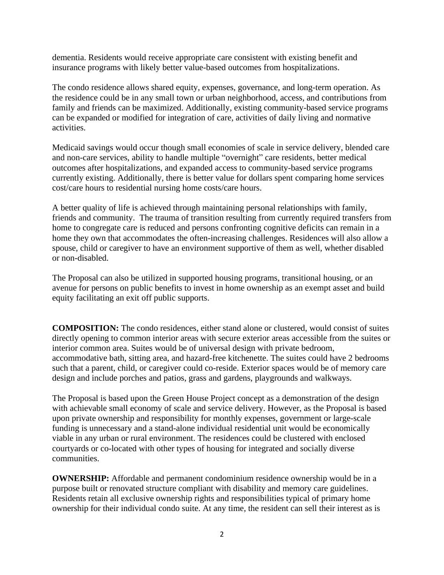dementia. Residents would receive appropriate care consistent with existing benefit and insurance programs with likely better value-based outcomes from hospitalizations.

The condo residence allows shared equity, expenses, governance, and long-term operation. As the residence could be in any small town or urban neighborhood, access, and contributions from family and friends can be maximized. Additionally, existing community-based service programs can be expanded or modified for integration of care, activities of daily living and normative activities.

Medicaid savings would occur though small economies of scale in service delivery, blended care and non-care services, ability to handle multiple "overnight" care residents, better medical outcomes after hospitalizations, and expanded access to community-based service programs currently existing. Additionally, there is better value for dollars spent comparing home services cost/care hours to residential nursing home costs/care hours.

A better quality of life is achieved through maintaining personal relationships with family, friends and community. The trauma of transition resulting from currently required transfers from home to congregate care is reduced and persons confronting cognitive deficits can remain in a home they own that accommodates the often-increasing challenges. Residences will also allow a spouse, child or caregiver to have an environment supportive of them as well, whether disabled or non-disabled.

The Proposal can also be utilized in supported housing programs, transitional housing, or an avenue for persons on public benefits to invest in home ownership as an exempt asset and build equity facilitating an exit off public supports.

**COMPOSITION:** The condo residences, either stand alone or clustered, would consist of suites directly opening to common interior areas with secure exterior areas accessible from the suites or interior common area. Suites would be of universal design with private bedroom, accommodative bath, sitting area, and hazard-free kitchenette. The suites could have 2 bedrooms such that a parent, child, or caregiver could co-reside. Exterior spaces would be of memory care design and include porches and patios, grass and gardens, playgrounds and walkways.

The Proposal is based upon the Green House Project concept as a demonstration of the design with achievable small economy of scale and service delivery. However, as the Proposal is based upon private ownership and responsibility for monthly expenses, government or large-scale funding is unnecessary and a stand-alone individual residential unit would be economically viable in any urban or rural environment. The residences could be clustered with enclosed courtyards or co-located with other types of housing for integrated and socially diverse communities.

**OWNERSHIP:** Affordable and permanent condominium residence ownership would be in a purpose built or renovated structure compliant with disability and memory care guidelines. Residents retain all exclusive ownership rights and responsibilities typical of primary home ownership for their individual condo suite. At any time, the resident can sell their interest as is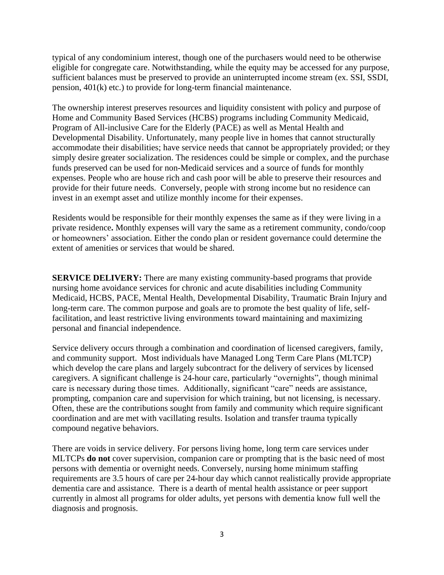typical of any condominium interest, though one of the purchasers would need to be otherwise eligible for congregate care. Notwithstanding, while the equity may be accessed for any purpose, sufficient balances must be preserved to provide an uninterrupted income stream (ex. SSI, SSDI, pension, 401(k) etc.) to provide for long-term financial maintenance.

The ownership interest preserves resources and liquidity consistent with policy and purpose of Home and Community Based Services (HCBS) programs including Community Medicaid, Program of All-inclusive Care for the Elderly (PACE) as well as Mental Health and Developmental Disability. Unfortunately, many people live in homes that cannot structurally accommodate their disabilities; have service needs that cannot be appropriately provided; or they simply desire greater socialization. The residences could be simple or complex, and the purchase funds preserved can be used for non-Medicaid services and a source of funds for monthly expenses. People who are house rich and cash poor will be able to preserve their resources and provide for their future needs. Conversely, people with strong income but no residence can invest in an exempt asset and utilize monthly income for their expenses.

Residents would be responsible for their monthly expenses the same as if they were living in a private residence**.** Monthly expenses will vary the same as a retirement community, condo/coop or homeowners' association. Either the condo plan or resident governance could determine the extent of amenities or services that would be shared.

**SERVICE DELIVERY:** There are many existing community-based programs that provide nursing home avoidance services for chronic and acute disabilities including Community Medicaid, HCBS, PACE, Mental Health, Developmental Disability, Traumatic Brain Injury and long-term care. The common purpose and goals are to promote the best quality of life, selffacilitation, and least restrictive living environments toward maintaining and maximizing personal and financial independence.

Service delivery occurs through a combination and coordination of licensed caregivers, family, and community support. Most individuals have Managed Long Term Care Plans (MLTCP) which develop the care plans and largely subcontract for the delivery of services by licensed caregivers. A significant challenge is 24-hour care, particularly "overnights", though minimal care is necessary during those times. Additionally, significant "care" needs are assistance, prompting, companion care and supervision for which training, but not licensing, is necessary. Often, these are the contributions sought from family and community which require significant coordination and are met with vacillating results. Isolation and transfer trauma typically compound negative behaviors.

There are voids in service delivery. For persons living home, long term care services under MLTCPs **do not** cover supervision, companion care or prompting that is the basic need of most persons with dementia or overnight needs. Conversely, nursing home minimum staffing requirements are 3.5 hours of care per 24-hour day which cannot realistically provide appropriate dementia care and assistance. There is a dearth of mental health assistance or peer support currently in almost all programs for older adults, yet persons with dementia know full well the diagnosis and prognosis.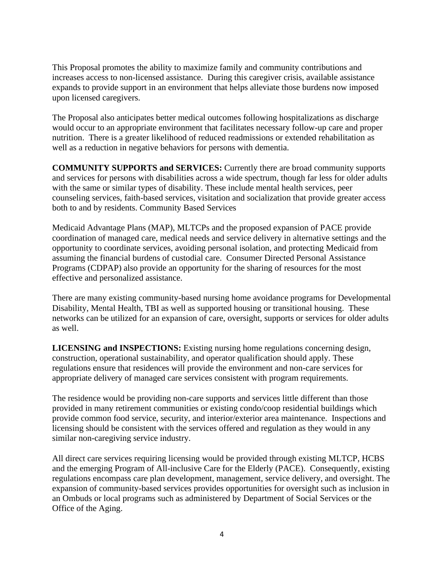This Proposal promotes the ability to maximize family and community contributions and increases access to non-licensed assistance. During this caregiver crisis, available assistance expands to provide support in an environment that helps alleviate those burdens now imposed upon licensed caregivers.

The Proposal also anticipates better medical outcomes following hospitalizations as discharge would occur to an appropriate environment that facilitates necessary follow-up care and proper nutrition. There is a greater likelihood of reduced readmissions or extended rehabilitation as well as a reduction in negative behaviors for persons with dementia.

**COMMUNITY SUPPORTS and SERVICES:** Currently there are broad community supports and services for persons with disabilities across a wide spectrum, though far less for older adults with the same or similar types of disability. These include mental health services, peer counseling services, faith-based services, visitation and socialization that provide greater access both to and by residents. Community Based Services

Medicaid Advantage Plans (MAP), MLTCPs and the proposed expansion of PACE provide coordination of managed care, medical needs and service delivery in alternative settings and the opportunity to coordinate services, avoiding personal isolation, and protecting Medicaid from assuming the financial burdens of custodial care. Consumer Directed Personal Assistance Programs (CDPAP) also provide an opportunity for the sharing of resources for the most effective and personalized assistance.

There are many existing community-based nursing home avoidance programs for Developmental Disability, Mental Health, TBI as well as supported housing or transitional housing. These networks can be utilized for an expansion of care, oversight, supports or services for older adults as well.

**LICENSING and INSPECTIONS:** Existing nursing home regulations concerning design, construction, operational sustainability, and operator qualification should apply. These regulations ensure that residences will provide the environment and non-care services for appropriate delivery of managed care services consistent with program requirements.

The residence would be providing non-care supports and services little different than those provided in many retirement communities or existing condo/coop residential buildings which provide common food service, security, and interior/exterior area maintenance. Inspections and licensing should be consistent with the services offered and regulation as they would in any similar non-caregiving service industry.

All direct care services requiring licensing would be provided through existing MLTCP, HCBS and the emerging Program of All-inclusive Care for the Elderly (PACE). Consequently, existing regulations encompass care plan development, management, service delivery, and oversight. The expansion of community-based services provides opportunities for oversight such as inclusion in an Ombuds or local programs such as administered by Department of Social Services or the Office of the Aging.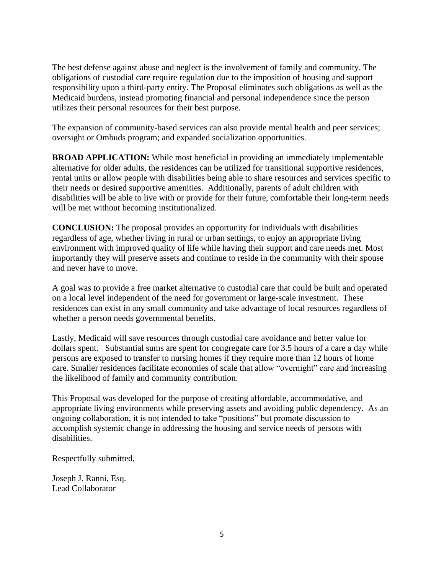The best defense against abuse and neglect is the involvement of family and community. The obligations of custodial care require regulation due to the imposition of housing and support responsibility upon a third-party entity. The Proposal eliminates such obligations as well as the Medicaid burdens, instead promoting financial and personal independence since the person utilizes their personal resources for their best purpose.

The expansion of community-based services can also provide mental health and peer services; oversight or Ombuds program; and expanded socialization opportunities.

**BROAD APPLICATION:** While most beneficial in providing an immediately implementable alternative for older adults, the residences can be utilized for transitional supportive residences, rental units or allow people with disabilities being able to share resources and services specific to their needs or desired supportive amenities. Additionally, parents of adult children with disabilities will be able to live with or provide for their future, comfortable their long-term needs will be met without becoming institutionalized.

**CONCLUSION:** The proposal provides an opportunity for individuals with disabilities regardless of age, whether living in rural or urban settings, to enjoy an appropriate living environment with improved quality of life while having their support and care needs met. Most importantly they will preserve assets and continue to reside in the community with their spouse and never have to move.

A goal was to provide a free market alternative to custodial care that could be built and operated on a local level independent of the need for government or large-scale investment. These residences can exist in any small community and take advantage of local resources regardless of whether a person needs governmental benefits.

Lastly, Medicaid will save resources through custodial care avoidance and better value for dollars spent. Substantial sums are spent for congregate care for 3.5 hours of a care a day while persons are exposed to transfer to nursing homes if they require more than 12 hours of home care. Smaller residences facilitate economies of scale that allow "overnight" care and increasing the likelihood of family and community contribution.

This Proposal was developed for the purpose of creating affordable, accommodative, and appropriate living environments while preserving assets and avoiding public dependency. As an ongoing collaboration, it is not intended to take "positions" but promote discussion to accomplish systemic change in addressing the housing and service needs of persons with disabilities.

Respectfully submitted,

Joseph J. Ranni, Esq. Lead Collaborator